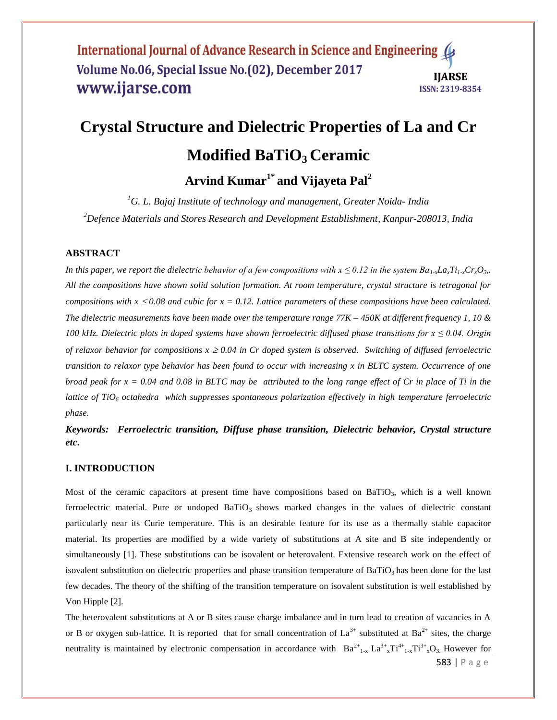# **Crystal Structure and Dielectric Properties of La and Cr Modified BaTiO3 Ceramic**

**Arvind Kumar1\* and Vijayeta Pal<sup>2</sup>**

*<sup>1</sup>G. L. Bajaj Institute of technology and management, Greater Noida- India <sup>2</sup>Defence Materials and Stores Research and Development Establishment, Kanpur-208013, India*

## **ABSTRACT**

*In this paper, we report the dielectric behavior of a few compositions with*  $x \leq 0.12$  *in the system*  $Ba_1_xLa_xTi_1_xCr_xO_3$ *. All the compositions have shown solid solution formation. At room temperature, crystal structure is tetragonal for compositions with*  $x \le 0.08$  *and cubic for*  $x = 0.12$ . *Lattice parameters of these compositions have been calculated. The dielectric measurements have been made over the temperature range 77K – 450K at different frequency 1, 10 & 100 kHz. Dielectric plots in doped systems have shown ferroelectric diffused phase transitions for x ≤ 0.04. Origin of relaxor behavior for compositions*  $x \ge 0.04$  *in Cr doped system is observed. Switching of diffused ferroelectric transition to relaxor type behavior has been found to occur with increasing x in BLTC system. Occurrence of one broad peak for x = 0.04 and 0.08 in BLTC may be attributed to the long range effect of Cr in place of Ti in the lattice of TiO<sup>6</sup> octahedra which suppresses spontaneous polarization effectively in high temperature ferroelectric phase.* 

*Keywords: Ferroelectric transition, Diffuse phase transition, Dielectric behavior, Crystal structure etc***.**

#### **I. INTRODUCTION**

Most of the ceramic capacitors at present time have compositions based on BaTiO<sub>3</sub>, which is a well known ferroelectric material. Pure or undoped  $BaTiO<sub>3</sub>$  shows marked changes in the values of dielectric constant particularly near its Curie temperature. This is an desirable feature for its use as a thermally stable capacitor material. Its properties are modified by a wide variety of substitutions at A site and B site independently or simultaneously [1]. These substitutions can be isovalent or heterovalent. Extensive research work on the effect of isovalent substitution on dielectric properties and phase transition temperature of  $BaTiO<sub>3</sub>$  has been done for the last few decades. The theory of the shifting of the transition temperature on isovalent substitution is well established by Von Hipple [2].

The heterovalent substitutions at A or B sites cause charge imbalance and in turn lead to creation of vacancies in A or B or oxygen sub-lattice. It is reported that for small concentration of  $La^{3+}$  substituted at  $Ba^{2+}$  sites, the charge neutrality is maintained by electronic compensation in accordance with  $Ba^{2+}{}_{1-x} La^{3+}{}_{x}Ti^{4+}{}_{1-x}Ti^{3+}{}_{x}O_3$ . However for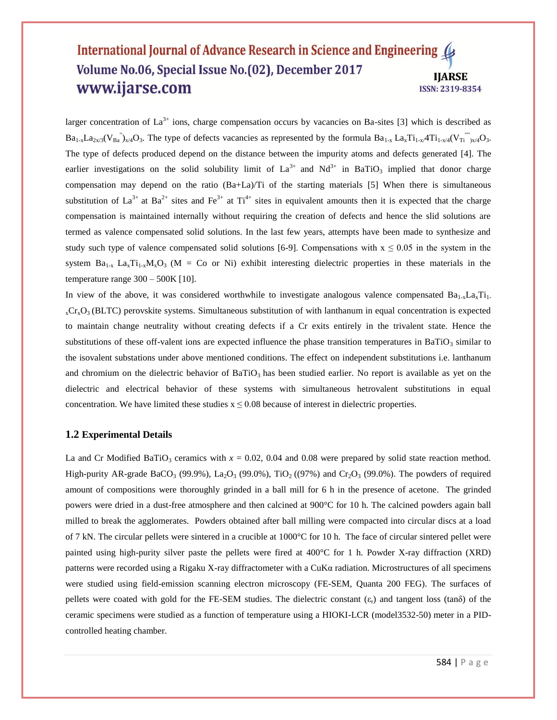larger concentration of  $La^{3+}$  ions, charge compensation occurs by vacancies on Ba-sites [3] which is described as  $Ba_{1-x}La_{2x/3}(V_{Ba}^{"})_{x/4}O_3$ . The type of defects vacancies as represented by the formula  $Ba_{1-x} La_x Ti_{1-x}/4Ti_{1-x/4}(V_{Ti}^{''})_{x/4}O_3$ . The type of defects produced depend on the distance between the impurity atoms and defects generated [4]. The earlier investigations on the solid solubility limit of  $La^{3+}$  and  $Nd^{3+}$  in BaTiO<sub>3</sub> implied that donor charge compensation may depend on the ratio (Ba+La)/Ti of the starting materials [5] When there is simultaneous substitution of  $La^{3+}$  at  $Ba^{2+}$  sites and  $Fe^{3+}$  at  $Ti^{4+}$  sites in equivalent amounts then it is expected that the charge compensation is maintained internally without requiring the creation of defects and hence the slid solutions are termed as valence compensated solid solutions. In the last few years, attempts have been made to synthesize and study such type of valence compensated solid solutions [6-9]. Compensations with  $x \le 0.05$  in the system in the system  $Ba_{1-x}$   $La_{x}Ti_{1-x}M_{x}O_{3}$  (M = Co or Ni) exhibit interesting dielectric properties in these materials in the temperature range 300 – 500K [10].

In view of the above, it was considered worthwhile to investigate analogous valence compensated  $Ba_{1-x}La_{x}Ti_{1-}$  $_{x}Cr_{x}O_{3}$  (BLTC) perovskite systems. Simultaneous substitution of with lanthanum in equal concentration is expected to maintain change neutrality without creating defects if a Cr exits entirely in the trivalent state. Hence the substitutions of these off-valent ions are expected influence the phase transition temperatures in BaTiO<sub>3</sub> similar to the isovalent substations under above mentioned conditions. The effect on independent substitutions i.e. lanthanum and chromium on the dielectric behavior of  $BaTiO<sub>3</sub>$  has been studied earlier. No report is available as yet on the dielectric and electrical behavior of these systems with simultaneous hetrovalent substitutions in equal concentration. We have limited these studies  $x \le 0.08$  because of interest in dielectric properties.

#### **1.2 Experimental Details**

La and Cr Modified BaTiO<sub>3</sub> ceramics with  $x = 0.02$ , 0.04 and 0.08 were prepared by solid state reaction method. High-purity AR-grade BaCO<sub>3</sub> (99.9%), La<sub>2</sub>O<sub>3</sub> (99.0%), TiO<sub>2</sub> ((97%) and Cr<sub>2</sub>O<sub>3</sub> (99.0%). The powders of required amount of compositions were thoroughly grinded in a ball mill for 6 h in the presence of acetone. The grinded powers were dried in a dust-free atmosphere and then calcined at 900°C for 10 h. The calcined powders again ball milled to break the agglomerates. Powders obtained after ball milling were compacted into circular discs at a load of 7 kN. The circular pellets were sintered in a crucible at 1000°C for 10 h. The face of circular sintered pellet were painted using high-purity silver paste the pellets were fired at 400°C for 1 h. Powder X-ray diffraction (XRD) patterns were recorded using a Rigaku X-ray diffractometer with a CuKα radiation. Microstructures of all specimens were studied using field-emission scanning electron microscopy (FE-SEM, Quanta 200 FEG). The surfaces of pellets were coated with gold for the FE-SEM studies. The dielectric constant  $(\varepsilon_r)$  and tangent loss (tan $\delta$ ) of the ceramic specimens were studied as a function of temperature using a HIOKI-LCR (model3532-50) meter in a PIDcontrolled heating chamber.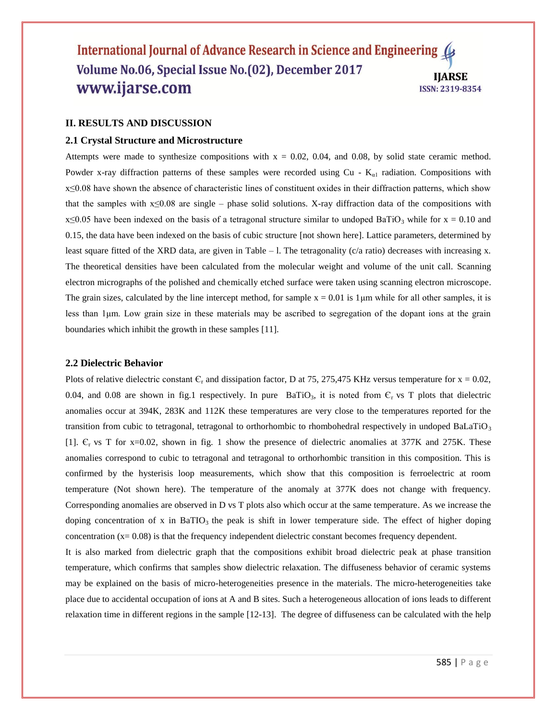## **II. RESULTS AND DISCUSSION**

#### **2.1 Crystal Structure and Microstructure**

Attempts were made to synthesize compositions with  $x = 0.02$ , 0.04, and 0.08, by solid state ceramic method. Powder x-ray diffraction patterns of these samples were recorded using Cu -  $K_{\alpha 1}$  radiation. Compositions with x≤0.08 have shown the absence of characteristic lines of constituent oxides in their diffraction patterns, which show that the samples with x≤0.08 are single – phase solid solutions. X-ray diffraction data of the compositions with  $x \le 0.05$  have been indexed on the basis of a tetragonal structure similar to undoped BaTiO<sub>3</sub> while for  $x = 0.10$  and 0.15, the data have been indexed on the basis of cubic structure [not shown here]. Lattice parameters, determined by least square fitted of the XRD data, are given in Table – 1. The tetragonality (c/a ratio) decreases with increasing x. The theoretical densities have been calculated from the molecular weight and volume of the unit call. Scanning electron micrographs of the polished and chemically etched surface were taken using scanning electron microscope. The grain sizes, calculated by the line intercept method, for sample  $x = 0.01$  is 1 µm while for all other samples, it is less than 1μm. Low grain size in these materials may be ascribed to segregation of the dopant ions at the grain boundaries which inhibit the growth in these samples [11].

#### **2.2 Dielectric Behavior**

Plots of relative dielectric constant  $C_r$  and dissipation factor, D at 75, 275,475 KHz versus temperature for  $x = 0.02$ , 0.04, and 0.08 are shown in fig.1 respectively. In pure BaTiO<sub>3</sub>, it is noted from  $C_r$  vs T plots that dielectric anomalies occur at 394K, 283K and 112K these temperatures are very close to the temperatures reported for the transition from cubic to tetragonal, tetragonal to orthorhombic to rhombohedral respectively in undoped BaLaTiO<sub>3</sub> [1].  $\epsilon$ <sub>r</sub> vs T for x=0.02, shown in fig. 1 show the presence of dielectric anomalies at 377K and 275K. These anomalies correspond to cubic to tetragonal and tetragonal to orthorhombic transition in this composition. This is confirmed by the hysterisis loop measurements, which show that this composition is ferroelectric at room temperature (Not shown here). The temperature of the anomaly at 377K does not change with frequency. Corresponding anomalies are observed in D vs T plots also which occur at the same temperature. As we increase the doping concentration of x in BaTIO<sub>3</sub> the peak is shift in lower temperature side. The effect of higher doping concentration  $(x= 0.08)$  is that the frequency independent dielectric constant becomes frequency dependent.

It is also marked from dielectric graph that the compositions exhibit broad dielectric peak at phase transition temperature, which confirms that samples show dielectric relaxation. The diffuseness behavior of ceramic systems may be explained on the basis of micro-heterogeneities presence in the materials. The micro-heterogeneities take place due to accidental occupation of ions at A and B sites. Such a heterogeneous allocation of ions leads to different relaxation time in different regions in the sample [12-13]. The degree of diffuseness can be calculated with the help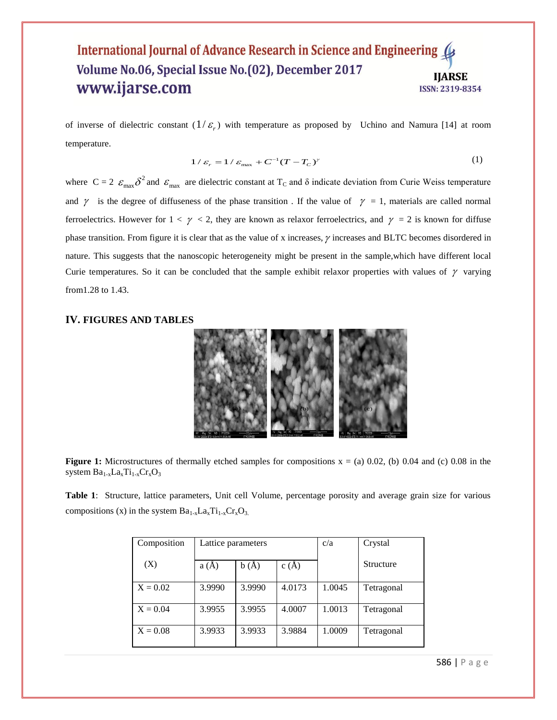of inverse of dielectric constant  $(1/\varepsilon_r)$  with temperature as proposed by Uchino and Namura [14] at room temperature.

$$
1/\varepsilon_r = 1/\varepsilon_{\text{max}} + C^{-1}(T - T_C)^\gamma
$$
\n(1)

where  $C = 2 \epsilon_{max} \delta^2$  and  $\epsilon_{max}$  are dielectric constant at T<sub>C</sub> and  $\delta$  indicate deviation from Curie Weiss temperature and  $\gamma$  is the degree of diffuseness of the phase transition. If the value of  $\gamma = 1$ , materials are called normal ferroelectrics. However for  $1 < \gamma < 2$ , they are known as relaxor ferroelectrics, and  $\gamma = 2$  is known for diffuse phase transition. From figure it is clear that as the value of x increases,  $\gamma$  increases and BLTC becomes disordered in nature. This suggests that the nanoscopic heterogeneity might be present in the sample,which have different local Curie temperatures. So it can be concluded that the sample exhibit relaxor properties with values of  $\gamma$  varying from1.28 to 1.43.

# **IV. FIGURES AND TABLES**



**Figure 1:** Microstructures of thermally etched samples for compositions  $x = (a) 0.02$ , (b) 0.04 and (c) 0.08 in the system  $Ba_{1-x}La_xTi_{1-x}Cr_xO_3$ 

**Table 1**: Structure, lattice parameters, Unit cell Volume, percentage porosity and average grain size for various compositions (x) in the system  $Ba_{1-x}La_xTi_{1-x}Cr_xO_3$ .

| Composition | Lattice parameters |        |        | c/a    | Crystal    |
|-------------|--------------------|--------|--------|--------|------------|
| (X)         | a(A)               | b(A)   | c(A)   |        | Structure  |
| $X = 0.02$  | 3.9990             | 3.9990 | 4.0173 | 1.0045 | Tetragonal |
| $X = 0.04$  | 3.9955             | 3.9955 | 4.0007 | 1.0013 | Tetragonal |
| $X = 0.08$  | 3.9933             | 3.9933 | 3.9884 | 1.0009 | Tetragonal |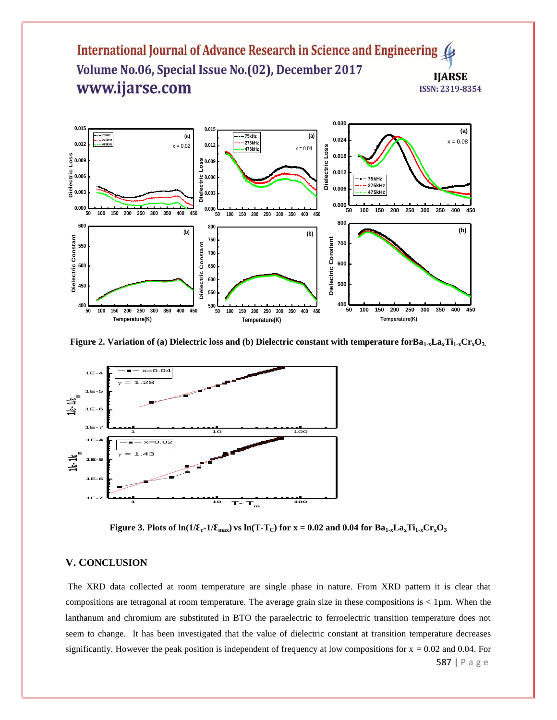

**Figure** 2. Variation of (a) Dielectric loss and (b) Dielectric constant with temperature forBa<sub>1-x</sub>**La**<sub>x</sub>**T**i<sub>1-x</sub>**Cr**<sub>x</sub>**O**<sub>3</sub>.



**Figure 3. Plots of**  $\ln(1/\mathcal{E}_r - 1/\mathcal{E}_{max})$  **vs**  $\ln(T - T_c)$  **for**  $x = 0.02$  **and 0.04 for**  $Ba_{1-x}La_xTi_{1-x}Cr_xO_3$ 

# **V. CONCLUSION**

The XRD data collected at room temperature are single phase in nature. From XRD pattern it is clear that compositions are tetragonal at room temperature. The average grain size in these compositions is  $< 1 \mu m$ . When the lanthanum and chromium are substituted in BTO the paraelectric to ferroelectric transition temperature does not seem to change. It has been investigated that the value of dielectric constant at transition temperature decreases significantly. However the peak position is independent of frequency at low compositions for  $x = 0.02$  and 0.04. For